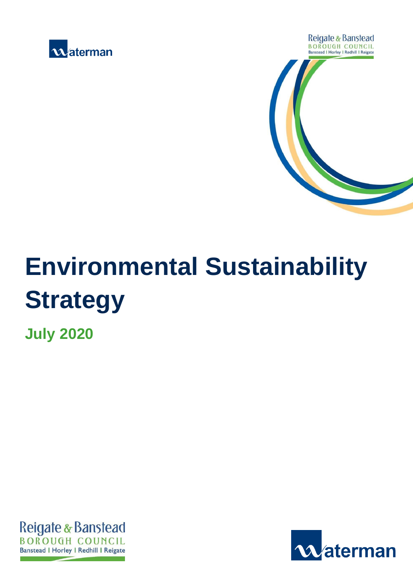



# **Environmental Sustainability Strategy**

**July 2020**



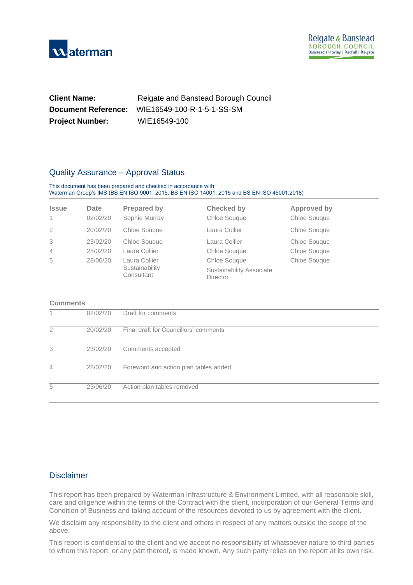

| <b>Client Name:</b>        | Reigate and Banstead Borough Council |
|----------------------------|--------------------------------------|
| <b>Document Reference:</b> | WIE16549-100-R-1-5-1-SS-SM           |
| <b>Project Number:</b>     | WIE16549-100                         |

#### Quality Assurance – Approval Status

#### This document has been prepared and checked in accordance with Waterman Group's IMS (BS EN ISO 9001: 2015, BS EN ISO 14001: 2015 and BS EN ISO 45001:2018)

| <b>Issue</b><br>$\overline{1}$ | Date<br>02/02/20 | <b>Prepared by</b><br>Sophie Murray | <b>Checked by</b><br>Chloe Souque    | <b>Approved by</b><br>Chloe Souque |
|--------------------------------|------------------|-------------------------------------|--------------------------------------|------------------------------------|
| 2                              | 20/02/20         | Chloe Sougue                        | Laura Collier                        | Chloe Sougue                       |
| 3                              | 23/02/20         | Chloe Sougue                        | Laura Collier                        | Chloe Sougue                       |
| $\overline{4}$                 | 28/02/20         | Laura Collier                       | Chloe Sougue                         | Chloe Souque                       |
| 5                              | 23/06/20         | Laura Collier                       | Chloe Sougue                         | Chloe Souque                       |
|                                |                  | Sustainability<br>Consultant        | Sustainability Associate<br>Director |                                    |

#### **Comments**

|   | 02/02/20 | Draft for comments                    |
|---|----------|---------------------------------------|
| 2 | 20/02/20 | Final draft for Councillors' comments |
| 3 | 23/02/20 | Comments accepted                     |
| 4 | 28/02/20 | Foreword and action plan tables added |
| 5 | 23/06/20 | Action plan tables removed            |

#### **Disclaimer**

This report has been prepared by Waterman Infrastructure & Environment Limited, with all reasonable skill, care and diligence within the terms of the Contract with the client, incorporation of our General Terms and Condition of Business and taking account of the resources devoted to us by agreement with the client.

We disclaim any responsibility to the client and others in respect of any matters outside the scope of the above.

This report is confidential to the client and we accept no responsibility of whatsoever nature to third parties to whom this report, or any part thereof, is made known. Any such party relies on the report at its own risk.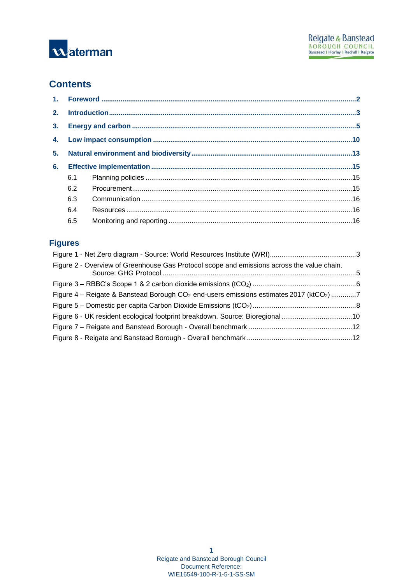

# **Contents**

| 6. |     |  |
|----|-----|--|
|    | 6.1 |  |
|    | 6.2 |  |
|    | 6.3 |  |
|    | 6.4 |  |
|    | 6.5 |  |
|    |     |  |

# **Figures**

| Figure 2 - Overview of Greenhouse Gas Protocol scope and emissions across the value chain.            |  |
|-------------------------------------------------------------------------------------------------------|--|
|                                                                                                       |  |
| Figure 4 – Reigate & Banstead Borough $CO2$ end-users emissions estimates 2017 (ktCO <sub>2</sub> ) 7 |  |
|                                                                                                       |  |
| Figure 6 - UK resident ecological footprint breakdown. Source: Bioregional10                          |  |
|                                                                                                       |  |
|                                                                                                       |  |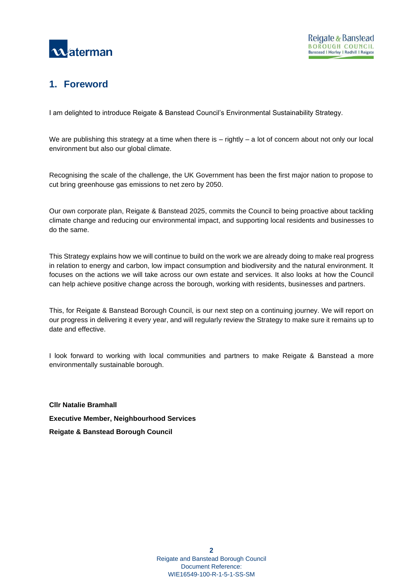

# <span id="page-3-0"></span>**1. Foreword**

I am delighted to introduce Reigate & Banstead Council's Environmental Sustainability Strategy.

We are publishing this strategy at a time when there is – rightly – a lot of concern about not only our local environment but also our global climate.

Recognising the scale of the challenge, the UK Government has been the first major nation to propose to cut bring greenhouse gas emissions to net zero by 2050.

Our own corporate plan, Reigate & Banstead 2025, commits the Council to being proactive about tackling climate change and reducing our environmental impact, and supporting local residents and businesses to do the same.

This Strategy explains how we will continue to build on the work we are already doing to make real progress in relation to energy and carbon, low impact consumption and biodiversity and the natural environment. It focuses on the actions we will take across our own estate and services. It also looks at how the Council can help achieve positive change across the borough, working with residents, businesses and partners.

This, for Reigate & Banstead Borough Council, is our next step on a continuing journey. We will report on our progress in delivering it every year, and will regularly review the Strategy to make sure it remains up to date and effective.

I look forward to working with local communities and partners to make Reigate & Banstead a more environmentally sustainable borough.

**Cllr Natalie Bramhall Executive Member, Neighbourhood Services Reigate & Banstead Borough Council**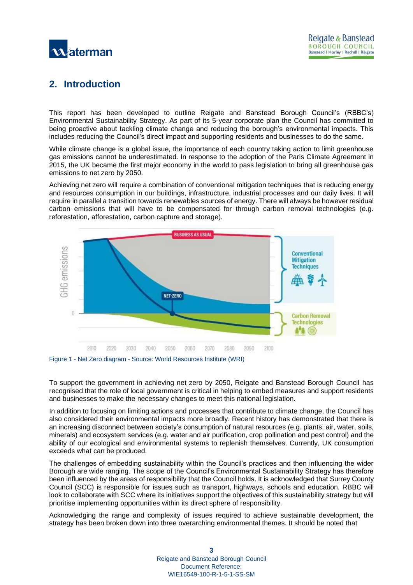

# <span id="page-4-0"></span>**2. Introduction**

This report has been developed to outline Reigate and Banstead Borough Council's (RBBC's) Environmental Sustainability Strategy. As part of its 5-year corporate plan the Council has committed to being proactive about tackling climate change and reducing the borough's environmental impacts. This includes reducing the Council's direct impact and supporting residents and businesses to do the same.

While climate change is a global issue, the importance of each country taking action to limit greenhouse gas emissions cannot be underestimated. In response to the adoption of the Paris Climate Agreement in 2015, the UK became the first major economy in the world to pass legislation to bring all greenhouse gas emissions to net zero by 2050.

Achieving net zero will require a combination of conventional mitigation techniques that is reducing energy and resources consumption in our buildings, infrastructure, industrial processes and our daily lives. It will require in parallel a transition towards renewables sources of energy. There will always be however residual carbon emissions that will have to be compensated for through carbon removal technologies (e.g. reforestation, afforestation, carbon capture and storage).



<span id="page-4-1"></span>

To support the government in achieving net zero by 2050, Reigate and Banstead Borough Council has recognised that the role of local government is critical in helping to embed measures and support residents and businesses to make the necessary changes to meet this national legislation.

In addition to focusing on limiting actions and processes that contribute to climate change, the Council has also considered their environmental impacts more broadly. Recent history has demonstrated that there is an increasing disconnect between society's consumption of natural resources (e.g. plants, air, water, soils, minerals) and ecosystem services (e.g. water and air purification, crop pollination and pest control) and the ability of our ecological and environmental systems to replenish themselves. Currently, UK consumption exceeds what can be produced.

The challenges of embedding sustainability within the Council's practices and then influencing the wider Borough are wide ranging. The scope of the Council's Environmental Sustainability Strategy has therefore been influenced by the areas of responsibility that the Council holds. It is acknowledged that Surrey County Council (SCC) is responsible for issues such as transport, highways, schools and education. RBBC will look to collaborate with SCC where its initiatives support the objectives of this sustainability strategy but will prioritise implementing opportunities within its direct sphere of responsibility.

Acknowledging the range and complexity of issues required to achieve sustainable development, the strategy has been broken down into three overarching environmental themes. It should be noted that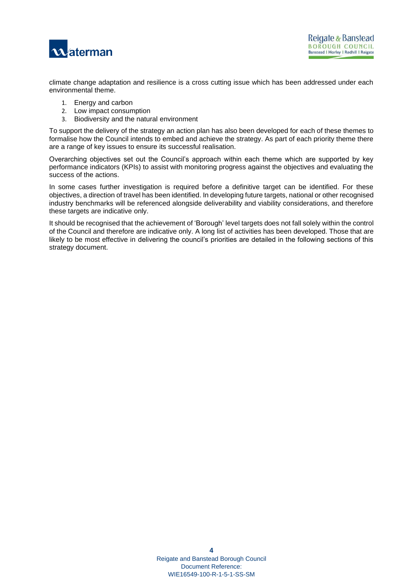

climate change adaptation and resilience is a cross cutting issue which has been addressed under each environmental theme.

- 1. Energy and carbon
- 2. Low impact consumption
- 3. Biodiversity and the natural environment

To support the delivery of the strategy an action plan has also been developed for each of these themes to formalise how the Council intends to embed and achieve the strategy. As part of each priority theme there are a range of key issues to ensure its successful realisation.

Overarching objectives set out the Council's approach within each theme which are supported by key performance indicators (KPIs) to assist with monitoring progress against the objectives and evaluating the success of the actions.

In some cases further investigation is required before a definitive target can be identified. For these objectives, a direction of travel has been identified. In developing future targets, national or other recognised industry benchmarks will be referenced alongside deliverability and viability considerations, and therefore these targets are indicative only.

It should be recognised that the achievement of 'Borough' level targets does not fall solely within the control of the Council and therefore are indicative only. A long list of activities has been developed. Those that are likely to be most effective in delivering the council's priorities are detailed in the following sections of this strategy document.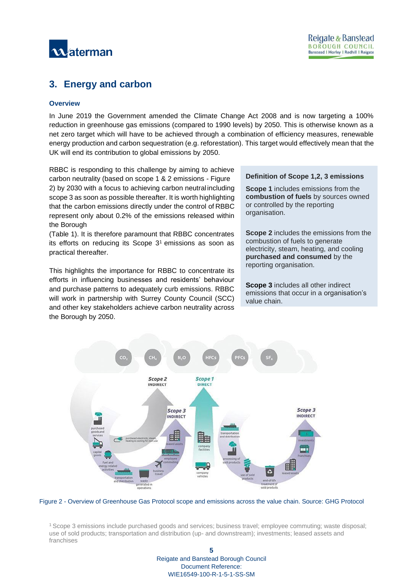

# <span id="page-6-0"></span>**3. Energy and carbon**

#### **Overview**

In June 2019 the Government amended the Climate Change Act 2008 and is now targeting a 100% reduction in greenhouse gas emissions (compared to 1990 levels) by 2050. This is otherwise known as a net zero target which will have to be achieved through a combination of efficiency measures, renewable energy production and carbon sequestration (e.g. reforestation). This target would effectively mean that the UK will end its contribution to global emissions by 2050.

RBBC is responding to this challenge by aiming to achieve carbon neutrality (based on scope 1 & 2 emissions - [Figure](#page-6-1) [2\)](#page-6-1) by 2030 with a focus to achieving carbon neutral including scope 3 as soon as possible thereafter. It is worth highlighting that the carbon emissions directly under the control of RBBC represent only about 0.2% of the emissions released within the Borough

[\(Table 1\)](#page-7-1). It is therefore paramount that RBBC concentrates its efforts on reducing its Scope  $3<sup>1</sup>$  emissions as soon as practical thereafter.

This highlights the importance for RBBC to concentrate its efforts in influencing businesses and residents' behaviour and purchase patterns to adequately curb emissions. RBBC will work in partnership with Surrey County Council (SCC) and other key stakeholders achieve carbon neutrality across the Borough by 2050.

#### **Definition of Scope 1,2, 3 emissions**

**Scope 1** includes emissions from the **combustion of fuels** by sources owned or controlled by the reporting organisation.

**Scope 2** includes the emissions from the combustion of fuels to generate electricity, steam, heating, and cooling **purchased and consumed** by the reporting organisation.

**Scope 3** includes all other indirect emissions that occur in a organisation's value chain.



<span id="page-6-1"></span>Figure 2 - Overview of Greenhouse Gas Protocol scope and emissions across the value chain. Source: GHG Protocol

<sup>1</sup>Scope 3 emissions include purchased goods and services; business travel; employee commuting; waste disposal; use of sold products; transportation and distribution (up- and downstream); investments; leased assets and franchises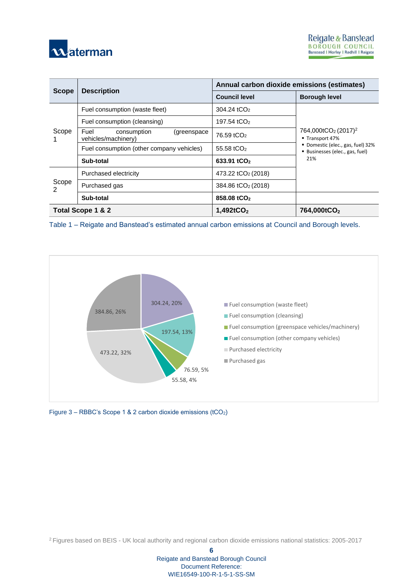

|                   |                                                           | Annual carbon dioxide emissions (estimates) |                                                                         |  |  |
|-------------------|-----------------------------------------------------------|---------------------------------------------|-------------------------------------------------------------------------|--|--|
| <b>Scope</b>      | <b>Description</b>                                        | <b>Council level</b>                        | <b>Borough level</b>                                                    |  |  |
|                   | Fuel consumption (waste fleet)                            | 304.24 tCO <sub>2</sub>                     |                                                                         |  |  |
|                   | Fuel consumption (cleansing)                              | 197.54 tCO <sub>2</sub>                     |                                                                         |  |  |
| Scope             | Fuel<br>consumption<br>(greenspace<br>vehicles/machinery) | 76.59 tCO <sub>2</sub>                      | 764,000tCO <sub>2</sub> (2017) <sup>2</sup><br>■ Transport 47%          |  |  |
|                   | Fuel consumption (other company vehicles)                 | 55.58 tCO <sub>2</sub>                      | Domestic (elec., gas, fuel) 32%<br>Businesses (elec., gas, fuel)<br>21% |  |  |
|                   | Sub-total                                                 | 633.91 tCO <sub>2</sub>                     |                                                                         |  |  |
|                   | Purchased electricity                                     | 473.22 tCO <sub>2</sub> (2018)              |                                                                         |  |  |
| Scope<br>2        | Purchased gas                                             | 384.86 tCO <sub>2</sub> (2018)              |                                                                         |  |  |
|                   | Sub-total                                                 | 858.08 tCO <sub>2</sub>                     |                                                                         |  |  |
| Total Scope 1 & 2 |                                                           | $1,492$ tCO <sub>2</sub>                    | 764,000tCO <sub>2</sub>                                                 |  |  |

<span id="page-7-1"></span>Table 1 – Reigate and Banstead's estimated annual carbon emissions at Council and Borough levels.



<span id="page-7-0"></span>Figure 3 – RBBC's Scope 1 & 2 carbon dioxide emissions (tCO2)

<sup>2</sup>Figures based on BEIS - UK local authority and regional carbon dioxide emissions national statistics: 2005-2017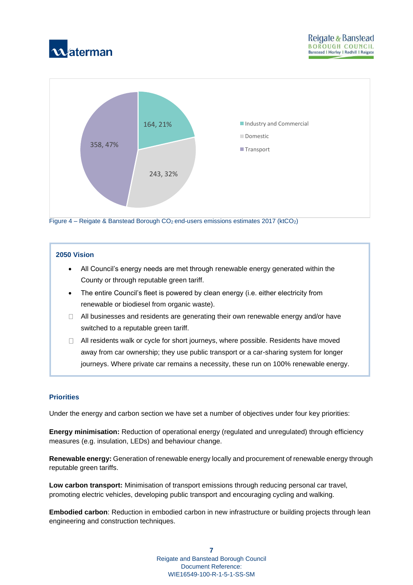



#### <span id="page-8-0"></span>**2050 Vision**

- All Council's energy needs are met through renewable energy generated within the County or through reputable green tariff.
- The entire Council's fleet is powered by clean energy (i.e. either electricity from renewable or biodiesel from organic waste).
- $\Box$  All businesses and residents are generating their own renewable energy and/or have switched to a reputable green tariff.
- $\Box$  All residents walk or cycle for short journeys, where possible. Residents have moved away from car ownership; they use public transport or a car-sharing system for longer journeys. Where private car remains a necessity, these run on 100% renewable energy.

#### **Priorities**

Under the energy and carbon section we have set a number of objectives under four key priorities:

**Energy minimisation:** Reduction of operational energy (regulated and unregulated) through efficiency measures (e.g. insulation, LEDs) and behaviour change.

**Renewable energy:** Generation of renewable energy locally and procurement of renewable energy through reputable green tariffs.

**Low carbon transport:** Minimisation of transport emissions through reducing personal car travel, promoting electric vehicles, developing public transport and encouraging cycling and walking.

**Embodied carbon**: Reduction in embodied carbon in new infrastructure or building projects through lean engineering and construction techniques.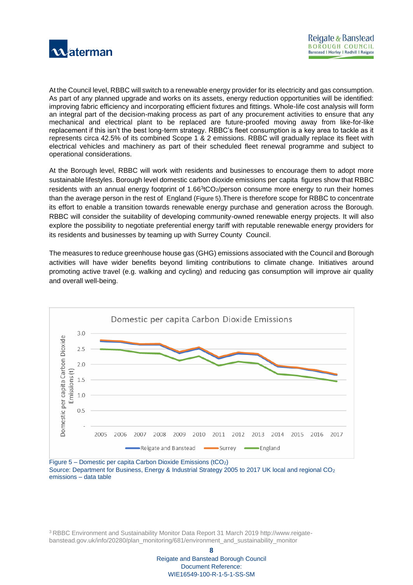

At the Council level, RBBC will switch to a renewable energy provider for its electricity and gas consumption. As part of any planned upgrade and works on its assets, energy reduction opportunities will be identified: improving fabric efficiency and incorporating efficient fixtures and fittings. Whole-life cost analysis will form an integral part of the decision-making process as part of any procurement activities to ensure that any mechanical and electrical plant to be replaced are future-proofed moving away from like-for-like replacement if this isn't the best long-term strategy. RBBC's fleet consumption is a key area to tackle as it represents circa 42.5% of its combined Scope 1 & 2 emissions. RBBC will gradually replace its fleet with electrical vehicles and machinery as part of their scheduled fleet renewal programme and subject to operational considerations.

At the Borough level, RBBC will work with residents and businesses to encourage them to adopt more sustainable lifestyles. Borough level domestic carbon dioxide emissions per capita figures show that RBBC residents with an annual energy footprint of 1.66 $\mathrm{^{3}tCO_{2}/}$ person consume more energy to run their homes than the average person in the rest of England ([Figure](#page-9-0) 5).There is therefore scope for RBBC to concentrate its effort to enable a transition towards renewable energy purchase and generation across the Borough. RBBC will consider the suitability of developing community-owned renewable energy projects. It will also explore the possibility to negotiate preferential energy tariff with reputable renewable energy providers for its residents and businesses by teaming up with Surrey County Council.

The measures to reduce greenhouse house gas (GHG) emissions associated with the Council and Borough activities will have wider benefits beyond limiting contributions to climate change. Initiatives around promoting active travel (e.g. walking and cycling) and reducing gas consumption will improve air quality and overall well-being.



<span id="page-9-0"></span>Figure 5 – Domestic per capita Carbon Dioxide Emissions (tCO2) Source: Department for Business, Energy & Industrial Strategy 2005 to 2017 UK local and regional CO<sub>2</sub> emissions – data table

3 RBBC Environment and Sustainability Monitor Data Report 31 March 2019 http://www.reigatebanstead.gov.uk/info/20280/plan\_monitoring/681/environment\_and\_sustainability\_monitor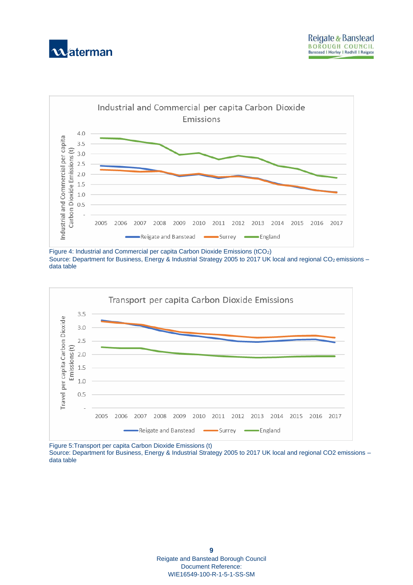



Figure 4: Industrial and Commercial per capita Carbon Dioxide Emissions (tCO<sub>2</sub>) Source: Department for Business, Energy & Industrial Strategy 2005 to 2017 UK local and regional CO<sub>2</sub> emissions data table



Figure 5:Transport per capita Carbon Dioxide Emissions (t)

Source: Department for Business, Energy & Industrial Strategy 2005 to 2017 UK local and regional CO2 emissions – data table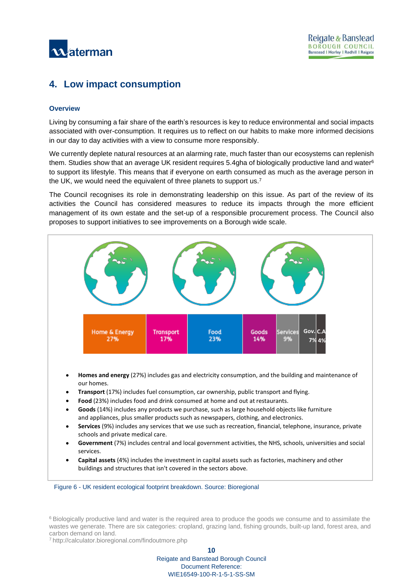

# <span id="page-11-0"></span>**4. Low impact consumption**

#### **Overview**

Living by consuming a fair share of the earth's resources is key to reduce environmental and social impacts associated with over-consumption. It requires us to reflect on our habits to make more informed decisions in our day to day activities with a view to consume more responsibly.

We currently deplete natural resources at an alarming rate, much faster than our ecosystems can replenish them. Studies show that an average UK resident requires 5.4gha of biologically productive land and water<sup>6</sup> to support its lifestyle. This means that if everyone on earth consumed as much as the average person in the UK, we would need the equivalent of three planets to support us.<sup>7</sup>

The Council recognises its role in demonstrating leadership on this issue. As part of the review of its activities the Council has considered measures to reduce its impacts through the more efficient management of its own estate and the set-up of a responsible procurement process. The Council also proposes to support initiatives to see improvements on a Borough wide scale.



- **Services** (9%) includes any services that we use such as recreation, financial, telephone, insurance, private schools and private medical care.
- **Government** (7%) includes central and local government activities, the NHS, schools, universities and social services.
- **Capital assets** (4%) includes the investment in capital assets such as factories, machinery and other buildings and structures that isn't covered in the sectors above.

<span id="page-11-1"></span>Figure 6 - UK resident ecological footprint breakdown. Source: Bioregional

<sup>6</sup> Biologically productive land and water is the required area to produce the goods we consume and to assimilate the wastes we generate. There are six categories: cropland, grazing land, fishing grounds, built-up land, forest area, and carbon demand on land.

<sup>7</sup><http://calculator.bioregional.com/findoutmore.php>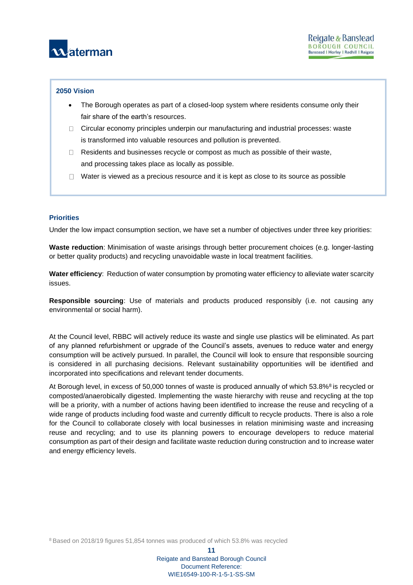

#### **2050 Vision**

- The Borough operates as part of a closed-loop system where residents consume only their fair share of the earth's resources.
- $\Box$  Circular economy principles underpin our manufacturing and industrial processes: waste is transformed into valuable resources and pollution is prevented.
- $\Box$  Residents and businesses recycle or compost as much as possible of their waste, and processing takes place as locally as possible.
- $\Box$  Water is viewed as a precious resource and it is kept as close to its source as possible

#### **Priorities**

Under the low impact consumption section, we have set a number of objectives under three key priorities:

**Waste reduction**: Minimisation of waste arisings through better procurement choices (e.g. longer-lasting or better quality products) and recycling unavoidable waste in local treatment facilities.

**Water efficiency**: Reduction of water consumption by promoting water efficiency to alleviate water scarcity issues.

**Responsible sourcing**: Use of materials and products produced responsibly (i.e. not causing any environmental or social harm).

At the Council level, RBBC will actively reduce its waste and single use plastics will be eliminated. As part of any planned refurbishment or upgrade of the Council's assets, avenues to reduce water and energy consumption will be actively pursued. In parallel, the Council will look to ensure that responsible sourcing is considered in all purchasing decisions. Relevant sustainability opportunities will be identified and incorporated into specifications and relevant tender documents.

At Borough level, in excess of 50,000 tonnes of waste is produced annually of which 53.8%<sup>8</sup> is recycled or composted/anaerobically digested. Implementing the waste hierarchy with reuse and recycling at the top will be a priority, with a number of actions having been identified to increase the reuse and recycling of a wide range of products including food waste and currently difficult to recycle products. There is also a role for the Council to collaborate closely with local businesses in relation minimising waste and increasing reuse and recycling; and to use its planning powers to encourage developers to reduce material consumption as part of their design and facilitate waste reduction during construction and to increase water and energy efficiency levels.

<sup>8</sup> Based on 2018/19 figures 51,854 tonnes was produced of which 53.8% was recycled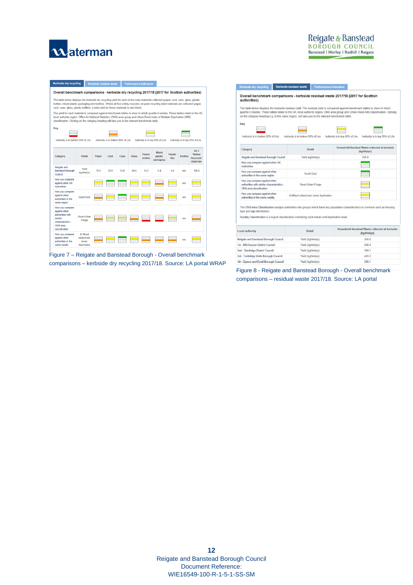

# Reigate & Banstead BOROUGH COUNCIL<br>Banstead | Horley | Redhill | Reigate

| Kerbside dry recycling                                                                                                                                                                                                                                                                                                                                                  |                                                                                                                                                                                                                                                                                                                                                                            |       | Kerbside residual waste           |                 | <b>Performance indicators</b> |                                  |                                      |                        |                 |                                                                     |
|-------------------------------------------------------------------------------------------------------------------------------------------------------------------------------------------------------------------------------------------------------------------------------------------------------------------------------------------------------------------------|----------------------------------------------------------------------------------------------------------------------------------------------------------------------------------------------------------------------------------------------------------------------------------------------------------------------------------------------------------------------------|-------|-----------------------------------|-----------------|-------------------------------|----------------------------------|--------------------------------------|------------------------|-----------------|---------------------------------------------------------------------|
| Overall benchmark comparisons - kerbside dry recycling 2017/18 (2017 for Scottish authorities)                                                                                                                                                                                                                                                                          |                                                                                                                                                                                                                                                                                                                                                                            |       |                                   |                 |                               |                                  |                                      |                        |                 |                                                                     |
|                                                                                                                                                                                                                                                                                                                                                                         | The table below displays the kerbside dry recycling yield for each of the main materials collected (paper, card, cans, glass, plastic<br>bottles, mixed plastic packaging and textiles). Where all five widely recycled, on-pack recycling label materials are collected (paper,<br>card, cans, glass, plastic bottles), a total yield for these materials is also listed. |       |                                   |                 |                               |                                  |                                      |                        |                 |                                                                     |
| The vield for each material is compared against benchmark tables to show in which quartile it resides. These tables relate to the UK.<br>local authority region, Office for National Statistics (ONS) area group and Urban-Rural Index of Multiple Deprivation (IMD)<br>classification. Clicking on the category heading will take you to the relevant benchmark table. |                                                                                                                                                                                                                                                                                                                                                                            |       |                                   |                 |                               |                                  |                                      |                        |                 |                                                                     |
| Key                                                                                                                                                                                                                                                                                                                                                                     |                                                                                                                                                                                                                                                                                                                                                                            |       |                                   |                 |                               |                                  |                                      |                        |                 |                                                                     |
| Authority is in bottom 25% of LAs.                                                                                                                                                                                                                                                                                                                                      |                                                                                                                                                                                                                                                                                                                                                                            |       | Authority is in bottom 50% of LAs |                 |                               |                                  | Authority is in top 50% of LAs       |                        |                 | Authority is in top 25% of LAs                                      |
| Category                                                                                                                                                                                                                                                                                                                                                                | <b>Detail</b>                                                                                                                                                                                                                                                                                                                                                              | Paper | Card                              | Cans            | <b>Glass</b>                  | <b>Plastic</b><br><b>bottles</b> | <b>Mixed</b><br>plastic<br>packaging | <b>Plastic</b><br>film | <b>Textiles</b> | All <sub>5</sub><br><b>'Widely</b><br><b>Recycled'</b><br>materials |
| Reigate and<br><b>Banstead Borough</b><br>Council                                                                                                                                                                                                                                                                                                                       | Yield<br>(ka/hhd/vr)                                                                                                                                                                                                                                                                                                                                                       | 764   | 35.9                              | 12 <sub>8</sub> | 59.6                          | 142                              | 54                                   | 48                     | n/a             | 1989                                                                |
| How you compare<br>against other UK<br><b>Authorities</b>                                                                                                                                                                                                                                                                                                               |                                                                                                                                                                                                                                                                                                                                                                            |       |                                   |                 |                               |                                  |                                      |                        | n/a             |                                                                     |
| How you compare<br>against other<br>authorities in the<br>same region                                                                                                                                                                                                                                                                                                   | <b>South East</b>                                                                                                                                                                                                                                                                                                                                                          |       |                                   |                 |                               |                                  |                                      |                        | n/a             |                                                                     |
| How you compare<br>against other<br>authorities with<br>similar<br>characteristics -<br>ONS area<br>classification                                                                                                                                                                                                                                                      | Rural-Urban<br>Fringe                                                                                                                                                                                                                                                                                                                                                      |       |                                   |                 | <u>es les les les</u>         |                                  |                                      |                        | n/a             |                                                                     |
| How you compare<br>against other<br>authorities in the<br>same rurality                                                                                                                                                                                                                                                                                                 | 4) Mixed<br>urban/rural.<br>lower<br>deprivation                                                                                                                                                                                                                                                                                                                           |       |                                   |                 |                               |                                  |                                      |                        | n/a             |                                                                     |

<span id="page-13-0"></span>Figure 7 – Reigate and Banstead Borough - Overall benchmark comparisons – kerbside dry recycling 2017/18. Source: LA portal WRAP

#### Kerbside dry recycling Kerbside residual waste Performance in

Overall benchmark comparisons - kerbside residual waste 2017/18 (2017 for Scottish<br>authorities)

The table below displays the kerbside residual yield. The residual yield is compared against benchmark tables to show in which<br>quartile it resides. These tables reiste to the UK, local authority region, ONS area group and

| Category                           | Detail                            |                                | Household Residual Waste collected at kerbside<br>(kg/hhd/vr) |
|------------------------------------|-----------------------------------|--------------------------------|---------------------------------------------------------------|
| Authority is in bottom 25% of LAs. | Authority is in bottom 50% of LAs | Authority is in top 50% of LAs | Authority is in top 25% of LAs                                |
| Key                                |                                   |                                |                                                               |

| Reigate and Banstead Borough Council                                                                   | Yield (kg/hhd/yr)                       | 355.0 |
|--------------------------------------------------------------------------------------------------------|-----------------------------------------|-------|
| How you compare against other UK<br>Authorities                                                        |                                         |       |
| How you compare against other<br>authorities in the same region                                        | South East                              |       |
| How you compare against other<br>authorities with similar characteristics -<br>ONS area classification | Rural-Urban Fringe                      |       |
| How you compare against other<br>authorities in the same rurality                                      | 4) Mixed urban/rural, lower deprivation |       |

The ONS Area Classification assigns authorities into groups which have key population characteristics in common such as housing d age di

Rurality Classification is a 6-part classification combining rural nature and deprivation level.

| Local authority                       | Detail            | Household Residual Waste collected at kerbside<br>(kg/hhd/vr) |
|---------------------------------------|-------------------|---------------------------------------------------------------|
| Reigate and Banstead Borough Council  | Yield (kg/hhd/vr) | 355.0                                                         |
| 1st - Mid Sussex District Council     | Yield (kg/hhd/yr) | 408.4                                                         |
| 2nd - Tandridge District Council      | Yield (kg/hhd/yr) | 308.1                                                         |
| 3rd - Tunbridge Wells Borough Council | Yield (kg/hhd/yr) | 441.2                                                         |
| 4th - Ensom and Ewell Borough Council | Yield (ka/hhd/vr) | 398 1                                                         |

Figure 8 - Reigate and Banstead Borough - Overall benchmark comparisons – residual waste 2017/18. Source: LA portal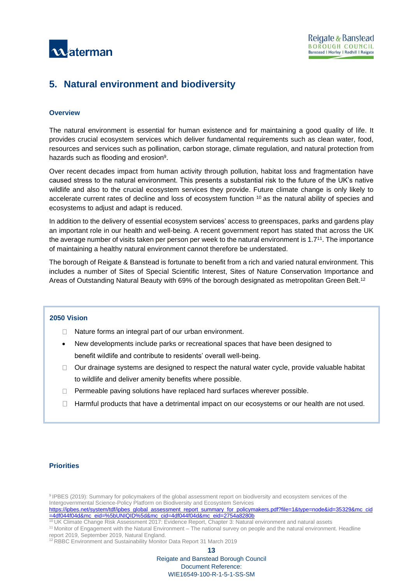

# <span id="page-14-0"></span>**5. Natural environment and biodiversity**

#### **Overview**

The natural environment is essential for human existence and for maintaining a good quality of life. It provides crucial ecosystem services which deliver fundamental requirements such as clean water, food, resources and services such as pollination, carbon storage, climate regulation, and natural protection from hazards such as flooding and erosion<sup>9</sup>.

Over recent decades impact from human activity through pollution, habitat loss and fragmentation have caused stress to the natural environment. This presents a substantial risk to the future of the UK's native wildlife and also to the crucial ecosystem services they provide. Future climate change is only likely to accelerate current rates of decline and loss of ecosystem function  $10$  as the natural ability of species and ecosystems to adjust and adapt is reduced.

In addition to the delivery of essential ecosystem services' access to greenspaces, parks and gardens play an important role in our health and well-being. A recent government report has stated that across the UK the average number of visits taken per person per week to the natural environment is 1.7<sup>11</sup> . The importance of maintaining a healthy natural environment cannot therefore be understated.

The borough of Reigate & Banstead is fortunate to benefit from a rich and varied natural environment. This includes a number of Sites of Special Scientific Interest, Sites of Nature Conservation Importance and Areas of Outstanding Natural Beauty with 69% of the borough designated as metropolitan Green Belt.<sup>12</sup>

#### **2050 Vision**

- $\Box$  Nature forms an integral part of our urban environment.
- New developments include parks or recreational spaces that have been designed to benefit wildlife and contribute to residents' overall well-being.
- $\Box$  Our drainage systems are designed to respect the natural water cycle, provide valuable habitat to wildlife and deliver amenity benefits where possible.
- $\Box$  Permeable paving solutions have replaced hard surfaces wherever possible.
- Harmful products that have a detrimental impact on our ecosystems or our health are not used.

#### **Priorities**

<sup>9</sup> IPBES (2019): Summary for policymakers of the global assessment report on biodiversity and ecosystem services of the Intergovernmental Science-Policy Platform on Biodiversity and Ecosystem Services

<sup>10</sup> UK Climate Change Risk Assessment 2017: Evidence Report, Chapter 3: Natural environment and natural assets <sup>11</sup> Monitor of Engagement with the Natural Environment – The national survey on people and the natural environment. Headline report 2019, September 2019, Natural England.

<sup>12</sup>RBBC Environment and Sustainability Monitor Data Report 31 March 2019

**13**

[https://ipbes.net/system/tdf/ipbes\\_global\\_assessment\\_report\\_summary\\_for\\_policymakers.pdf?file=1&type=node&id=35329&mc\\_cid](https://ipbes.net/system/tdf/ipbes_global_assessment_report_summary_for_policymakers.pdf?file=1&type=node&id=35329&mc_cid=4df044f04d&mc_eid=%5bUNIQID%5d&mc_cid=4df044f04d&mc_eid=2754a8280b) [=4df044f04d&mc\\_eid=%5bUNIQID%5d&mc\\_cid=4df044f04d&mc\\_eid=2754a8280b](https://ipbes.net/system/tdf/ipbes_global_assessment_report_summary_for_policymakers.pdf?file=1&type=node&id=35329&mc_cid=4df044f04d&mc_eid=%5bUNIQID%5d&mc_cid=4df044f04d&mc_eid=2754a8280b)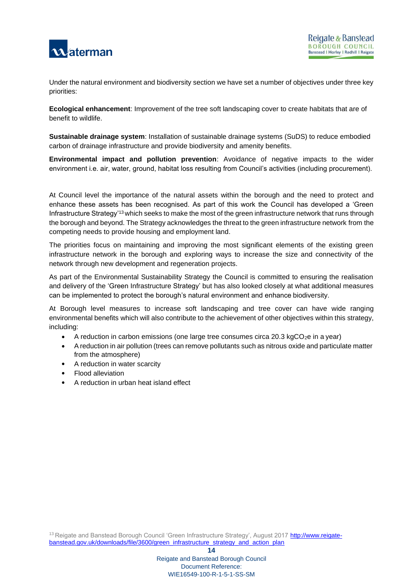

Under the natural environment and biodiversity section we have set a number of objectives under three key priorities:

**Ecological enhancement**: Improvement of the tree soft landscaping cover to create habitats that are of benefit to wildlife.

**Sustainable drainage system**: Installation of sustainable drainage systems (SuDS) to reduce embodied carbon of drainage infrastructure and provide biodiversity and amenity benefits.

**Environmental impact and pollution prevention**: Avoidance of negative impacts to the wider environment i.e. air, water, ground, habitat loss resulting from Council's activities (including procurement).

At Council level the importance of the natural assets within the borough and the need to protect and enhance these assets has been recognised. As part of this work the Council has developed a 'Green Infrastructure Strategy'<sup>13</sup> which seeks to make the most of the green infrastructure network that runs through the borough and beyond. The Strategy acknowledges the threat to the green infrastructure network from the competing needs to provide housing and employment land.

The priorities focus on maintaining and improving the most significant elements of the existing green infrastructure network in the borough and exploring ways to increase the size and connectivity of the network through new development and regeneration projects.

As part of the Environmental Sustainability Strategy the Council is committed to ensuring the realisation and delivery of the 'Green Infrastructure Strategy' but has also looked closely at what additional measures can be implemented to protect the borough's natural environment and enhance biodiversity.

At Borough level measures to increase soft landscaping and tree cover can have wide ranging environmental benefits which will also contribute to the achievement of other objectives within this strategy, including:

- A reduction in carbon emissions (one large tree consumes circa 20.3 kgCO<sub>2</sub>e in a year)
- A reduction in air pollution (trees can remove pollutants such as nitrous oxide and particulate matter from the atmosphere)
- A reduction in water scarcity
- Flood alleviation
- A reduction in urban heat island effect

**14**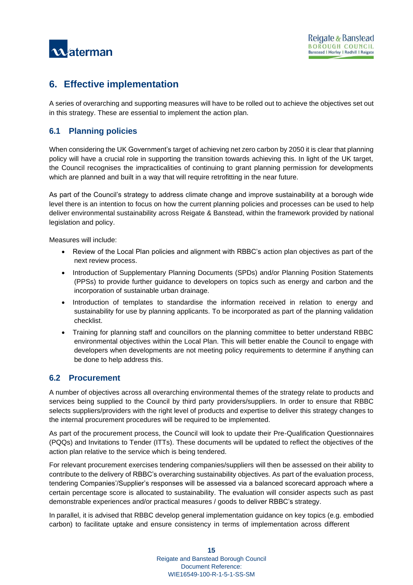

# <span id="page-16-0"></span>**6. Effective implementation**

A series of overarching and supporting measures will have to be rolled out to achieve the objectives set out in this strategy. These are essential to implement the action plan.

## <span id="page-16-1"></span>**6.1 Planning policies**

When considering the UK Government's target of achieving net zero carbon by 2050 it is clear that planning policy will have a crucial role in supporting the transition towards achieving this. In light of the UK target, the Council recognises the impracticalities of continuing to grant planning permission for developments which are planned and built in a way that will require retrofitting in the near future.

As part of the Council's strategy to address climate change and improve sustainability at a borough wide level there is an intention to focus on how the current planning policies and processes can be used to help deliver environmental sustainability across Reigate & Banstead, within the framework provided by national legislation and policy.

Measures will include:

- Review of the Local Plan policies and alignment with RBBC's action plan objectives as part of the next review process.
- Introduction of Supplementary Planning Documents (SPDs) and/or Planning Position Statements (PPSs) to provide further guidance to developers on topics such as energy and carbon and the incorporation of sustainable urban drainage.
- Introduction of templates to standardise the information received in relation to energy and sustainability for use by planning applicants. To be incorporated as part of the planning validation checklist.
- Training for planning staff and councillors on the planning committee to better understand RBBC environmental objectives within the Local Plan. This will better enable the Council to engage with developers when developments are not meeting policy requirements to determine if anything can be done to help address this.

### <span id="page-16-2"></span>**6.2 Procurement**

A number of objectives across all overarching environmental themes of the strategy relate to products and services being supplied to the Council by third party providers/suppliers. In order to ensure that RBBC selects suppliers/providers with the right level of products and expertise to deliver this strategy changes to the internal procurement procedures will be required to be implemented.

As part of the procurement process, the Council will look to update their Pre-Qualification Questionnaires (PQQs) and Invitations to Tender (ITTs). These documents will be updated to reflect the objectives of the action plan relative to the service which is being tendered.

For relevant procurement exercises tendering companies/suppliers will then be assessed on their ability to contribute to the delivery of RBBC's overarching sustainability objectives. As part of the evaluation process, tendering Companies'/Supplier's responses will be assessed via a balanced scorecard approach where a certain percentage score is allocated to sustainability. The evaluation will consider aspects such as past demonstrable experiences and/or practical measures / goods to deliver RBBC's strategy.

In parallel, it is advised that RBBC develop general implementation guidance on key topics (e.g. embodied carbon) to facilitate uptake and ensure consistency in terms of implementation across different